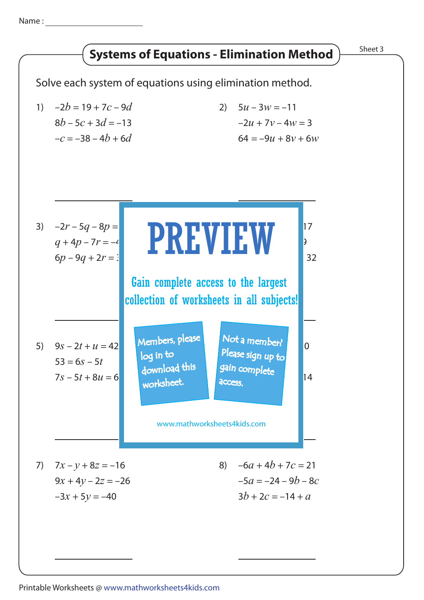Name :